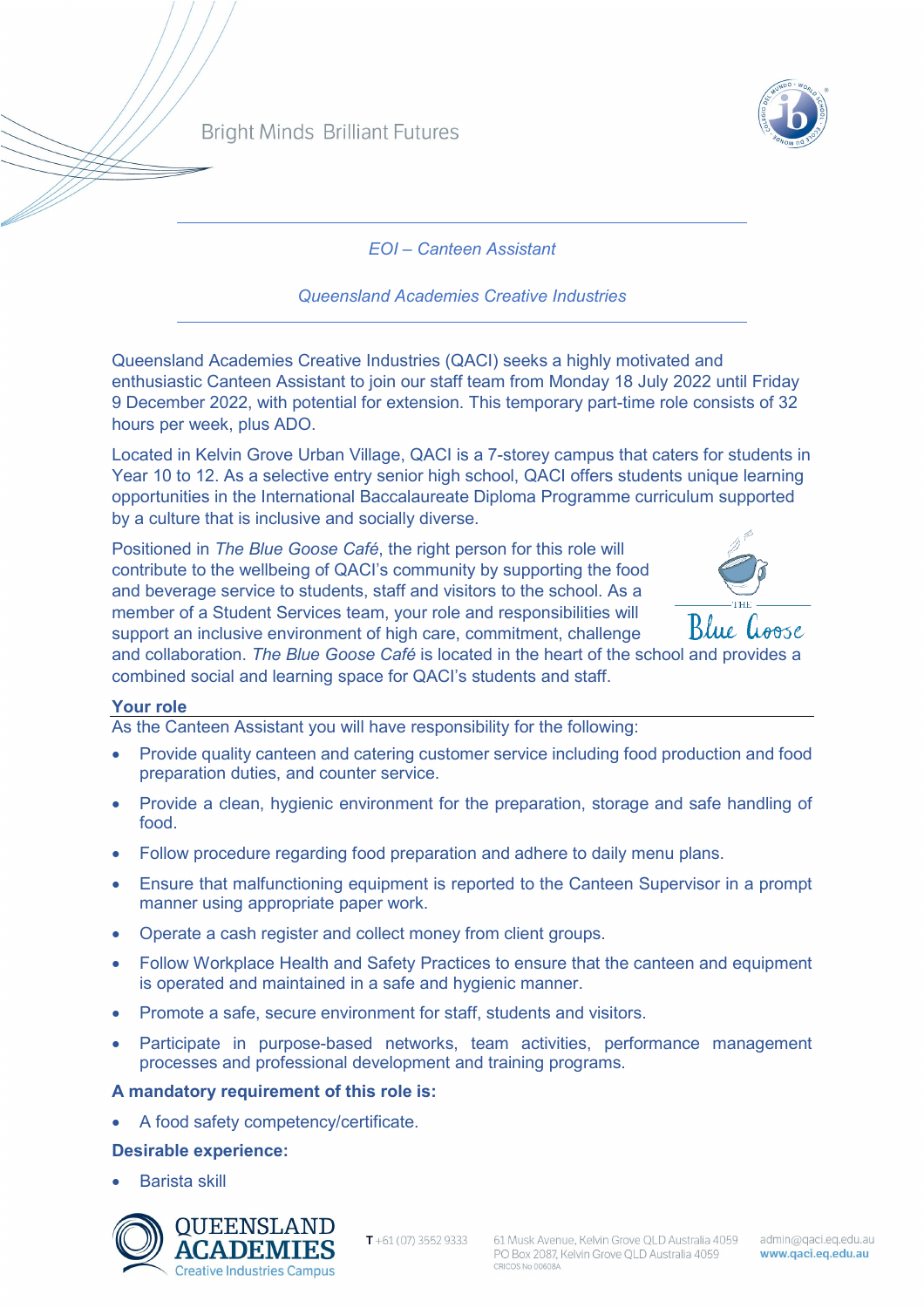

*EOI – Canteen Assistant* 

*Queensland Academies Creative Industries* 

Queensland Academies Creative Industries (QACI) seeks a highly motivated and enthusiastic Canteen Assistant to join our staff team from Monday 18 July 2022 until Friday 9 December 2022, with potential for extension. This temporary part-time role consists of 32 hours per week, plus ADO.

Located in Kelvin Grove Urban Village, QACI is a 7-storey campus that caters for students in Year 10 to 12. As a selective entry senior high school, QACI offers students unique learning opportunities in the International Baccalaureate Diploma Programme curriculum supported by a culture that is inclusive and socially diverse.

Positioned in *The Blue Goose Café*, the right person for this role will contribute to the wellbeing of QACI's community by supporting the food and beverage service to students, staff and visitors to the school. As a member of a Student Services team, your role and responsibilities will support an inclusive environment of high care, commitment, challenge



and collaboration. *The Blue Goose Café* is located in the heart of the school and provides a combined social and learning space for QACI's students and staff.

# **Your role**

As the Canteen Assistant you will have responsibility for the following:

- Provide quality canteen and catering customer service including food production and food preparation duties, and counter service.
- Provide a clean, hygienic environment for the preparation, storage and safe handling of food.
- Follow procedure regarding food preparation and adhere to daily menu plans.
- Ensure that malfunctioning equipment is reported to the Canteen Supervisor in a prompt manner using appropriate paper work.
- Operate a cash register and collect money from client groups.
- Follow Workplace Health and Safety Practices to ensure that the canteen and equipment is operated and maintained in a safe and hygienic manner.
- Promote a safe, secure environment for staff, students and visitors.
- Participate in purpose-based networks, team activities, performance management processes and professional development and training programs.

### **A mandatory requirement of this role is:**

• A food safety competency/certificate.

# **Desirable experience:**

• Barista skill



 $T + 61(07)$  3552 9333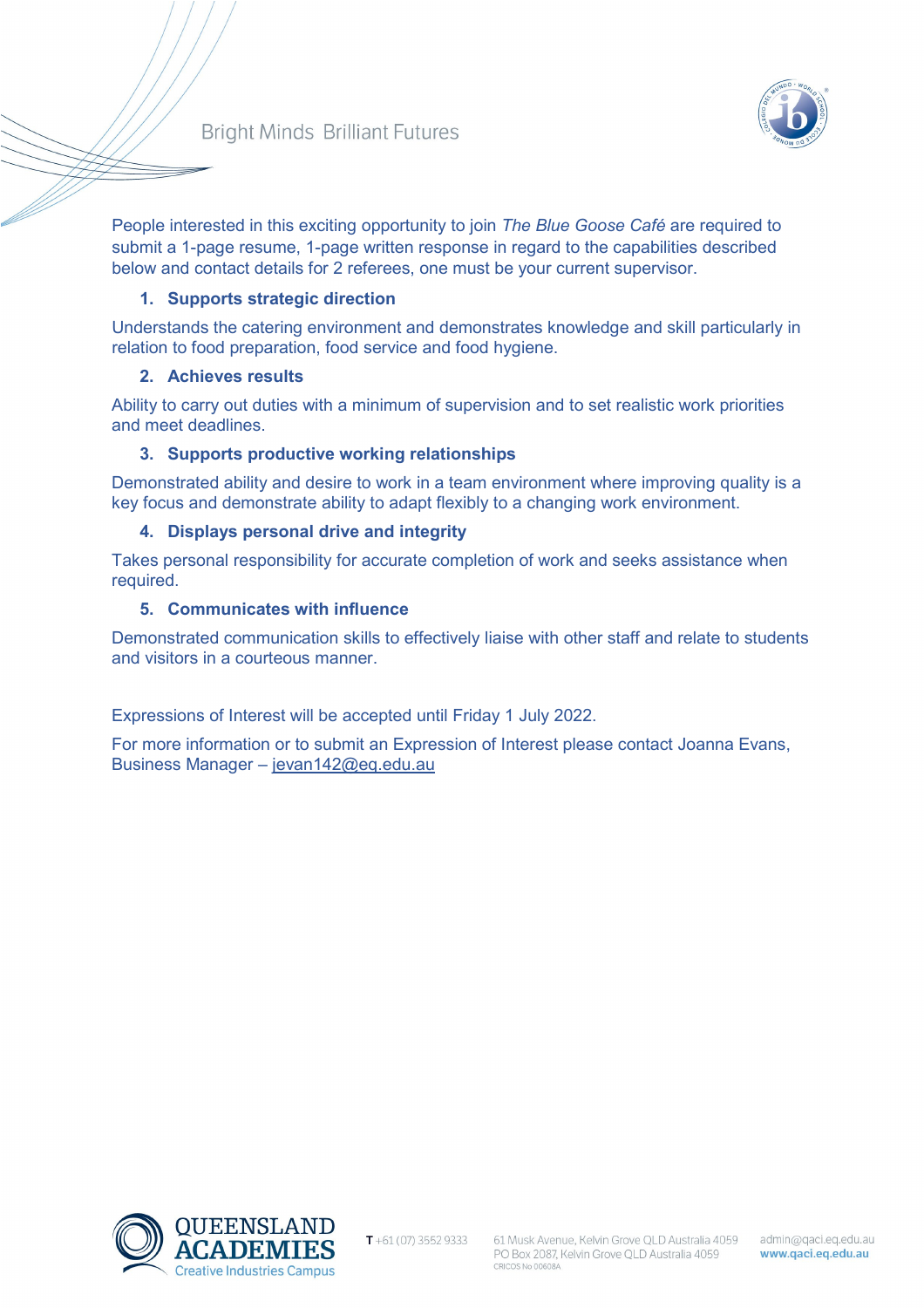# **Bright Minds Brilliant Futures**



People interested in this exciting opportunity to join *The Blue Goose Café* are required to submit a 1-page resume, 1-page written response in regard to the capabilities described below and contact details for 2 referees, one must be your current supervisor.

## **1. Supports strategic direction**

Understands the catering environment and demonstrates knowledge and skill particularly in relation to food preparation, food service and food hygiene.

### **2. Achieves results**

Ability to carry out duties with a minimum of supervision and to set realistic work priorities and meet deadlines.

# **3. Supports productive working relationships**

Demonstrated ability and desire to work in a team environment where improving quality is a key focus and demonstrate ability to adapt flexibly to a changing work environment.

# **4. Displays personal drive and integrity**

Takes personal responsibility for accurate completion of work and seeks assistance when required.

# **5. Communicates with influence**

Demonstrated communication skills to effectively liaise with other staff and relate to students and visitors in a courteous manner.

Expressions of Interest will be accepted until Friday 1 July 2022.

For more information or to submit an Expression of Interest please contact Joanna Evans, Business Manager – [jevan142@eq.edu.au](mailto:jevan142@eq.edu.au) 



 $T + 61(07)$  3552 9333